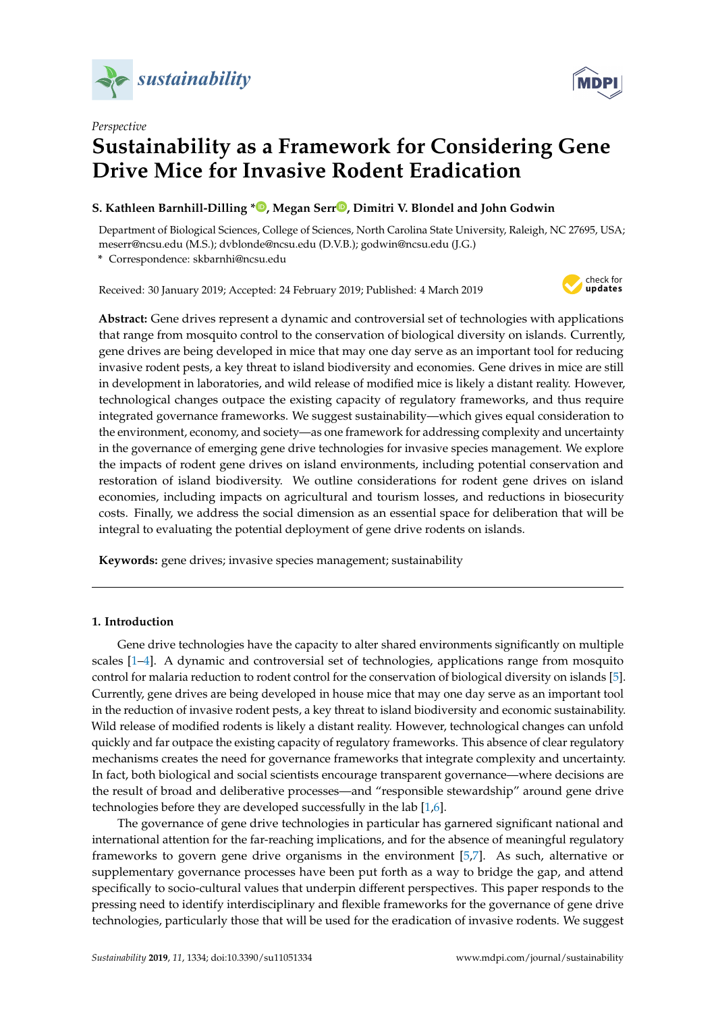



# *Perspective* **Sustainability as a Framework for Considering Gene Drive Mice for Invasive Rodent Eradication**

# **S. Kathleen Barnhill-Dilling \* [,](https://orcid.org/0000-0003-3442-738X) Megan Serr [,](https://orcid.org/0000-0001-7599-6605) Dimitri V. Blondel and John Godwin**

Department of Biological Sciences, College of Sciences, North Carolina State University, Raleigh, NC 27695, USA; meserr@ncsu.edu (M.S.); dvblonde@ncsu.edu (D.V.B.); godwin@ncsu.edu (J.G.)

**\*** Correspondence: skbarnhi@ncsu.edu

Received: 30 January 2019; Accepted: 24 February 2019; Published: 4 March 2019



**Abstract:** Gene drives represent a dynamic and controversial set of technologies with applications that range from mosquito control to the conservation of biological diversity on islands. Currently, gene drives are being developed in mice that may one day serve as an important tool for reducing invasive rodent pests, a key threat to island biodiversity and economies. Gene drives in mice are still in development in laboratories, and wild release of modified mice is likely a distant reality. However, technological changes outpace the existing capacity of regulatory frameworks, and thus require integrated governance frameworks. We suggest sustainability—which gives equal consideration to the environment, economy, and society—as one framework for addressing complexity and uncertainty in the governance of emerging gene drive technologies for invasive species management. We explore the impacts of rodent gene drives on island environments, including potential conservation and restoration of island biodiversity. We outline considerations for rodent gene drives on island economies, including impacts on agricultural and tourism losses, and reductions in biosecurity costs. Finally, we address the social dimension as an essential space for deliberation that will be integral to evaluating the potential deployment of gene drive rodents on islands.

**Keywords:** gene drives; invasive species management; sustainability

# **1. Introduction**

Gene drive technologies have the capacity to alter shared environments significantly on multiple scales [\[1](#page-8-0)[–4\]](#page-8-1). A dynamic and controversial set of technologies, applications range from mosquito control for malaria reduction to rodent control for the conservation of biological diversity on islands [\[5\]](#page-8-2). Currently, gene drives are being developed in house mice that may one day serve as an important tool in the reduction of invasive rodent pests, a key threat to island biodiversity and economic sustainability. Wild release of modified rodents is likely a distant reality. However, technological changes can unfold quickly and far outpace the existing capacity of regulatory frameworks. This absence of clear regulatory mechanisms creates the need for governance frameworks that integrate complexity and uncertainty. In fact, both biological and social scientists encourage transparent governance—where decisions are the result of broad and deliberative processes—and "responsible stewardship" around gene drive technologies before they are developed successfully in the lab [\[1,](#page-8-0)[6\]](#page-8-3).

The governance of gene drive technologies in particular has garnered significant national and international attention for the far-reaching implications, and for the absence of meaningful regulatory frameworks to govern gene drive organisms in the environment [\[5,](#page-8-2)[7\]](#page-8-4). As such, alternative or supplementary governance processes have been put forth as a way to bridge the gap, and attend specifically to socio-cultural values that underpin different perspectives. This paper responds to the pressing need to identify interdisciplinary and flexible frameworks for the governance of gene drive technologies, particularly those that will be used for the eradication of invasive rodents. We suggest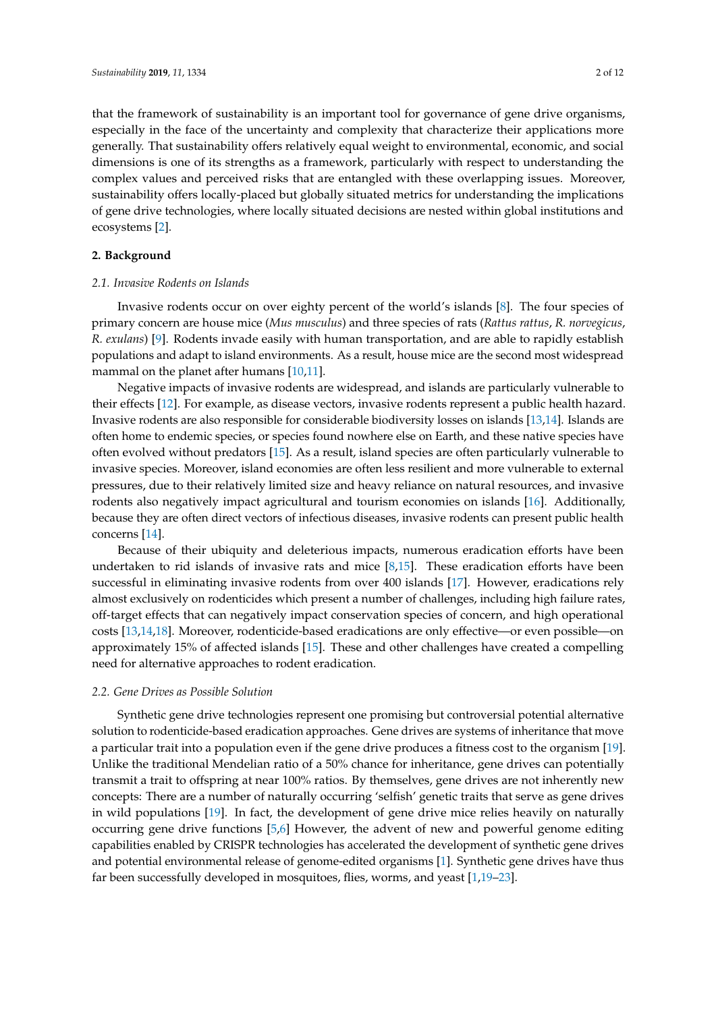that the framework of sustainability is an important tool for governance of gene drive organisms, especially in the face of the uncertainty and complexity that characterize their applications more generally. That sustainability offers relatively equal weight to environmental, economic, and social dimensions is one of its strengths as a framework, particularly with respect to understanding the complex values and perceived risks that are entangled with these overlapping issues. Moreover, sustainability offers locally-placed but globally situated metrics for understanding the implications of gene drive technologies, where locally situated decisions are nested within global institutions and ecosystems [\[2\]](#page-8-5).

## **2. Background**

## *2.1. Invasive Rodents on Islands*

Invasive rodents occur on over eighty percent of the world's islands [\[8\]](#page-8-6). The four species of primary concern are house mice (*Mus musculus*) and three species of rats (*Rattus rattus*, *R. norvegicus*, *R. exulans*) [\[9\]](#page-8-7). Rodents invade easily with human transportation, and are able to rapidly establish populations and adapt to island environments. As a result, house mice are the second most widespread mammal on the planet after humans [\[10,](#page-8-8)[11\]](#page-8-9).

Negative impacts of invasive rodents are widespread, and islands are particularly vulnerable to their effects [\[12\]](#page-8-10). For example, as disease vectors, invasive rodents represent a public health hazard. Invasive rodents are also responsible for considerable biodiversity losses on islands [\[13](#page-8-11)[,14\]](#page-8-12). Islands are often home to endemic species, or species found nowhere else on Earth, and these native species have often evolved without predators [\[15\]](#page-8-13). As a result, island species are often particularly vulnerable to invasive species. Moreover, island economies are often less resilient and more vulnerable to external pressures, due to their relatively limited size and heavy reliance on natural resources, and invasive rodents also negatively impact agricultural and tourism economies on islands [\[16\]](#page-8-14). Additionally, because they are often direct vectors of infectious diseases, invasive rodents can present public health concerns [\[14\]](#page-8-12).

Because of their ubiquity and deleterious impacts, numerous eradication efforts have been undertaken to rid islands of invasive rats and mice  $[8,15]$  $[8,15]$ . These eradication efforts have been successful in eliminating invasive rodents from over 400 islands [\[17\]](#page-9-0). However, eradications rely almost exclusively on rodenticides which present a number of challenges, including high failure rates, off-target effects that can negatively impact conservation species of concern, and high operational costs [\[13](#page-8-11)[,14](#page-8-12)[,18\]](#page-9-1). Moreover, rodenticide-based eradications are only effective—or even possible—on approximately 15% of affected islands [\[15\]](#page-8-13). These and other challenges have created a compelling need for alternative approaches to rodent eradication.

#### *2.2. Gene Drives as Possible Solution*

Synthetic gene drive technologies represent one promising but controversial potential alternative solution to rodenticide-based eradication approaches. Gene drives are systems of inheritance that move a particular trait into a population even if the gene drive produces a fitness cost to the organism [\[19\]](#page-9-2). Unlike the traditional Mendelian ratio of a 50% chance for inheritance, gene drives can potentially transmit a trait to offspring at near 100% ratios. By themselves, gene drives are not inherently new concepts: There are a number of naturally occurring 'selfish' genetic traits that serve as gene drives in wild populations [\[19\]](#page-9-2). In fact, the development of gene drive mice relies heavily on naturally occurring gene drive functions [\[5,](#page-8-2)[6\]](#page-8-3) However, the advent of new and powerful genome editing capabilities enabled by CRISPR technologies has accelerated the development of synthetic gene drives and potential environmental release of genome-edited organisms [\[1\]](#page-8-0). Synthetic gene drives have thus far been successfully developed in mosquitoes, flies, worms, and yeast [\[1](#page-8-0)[,19–](#page-9-2)[23\]](#page-9-3).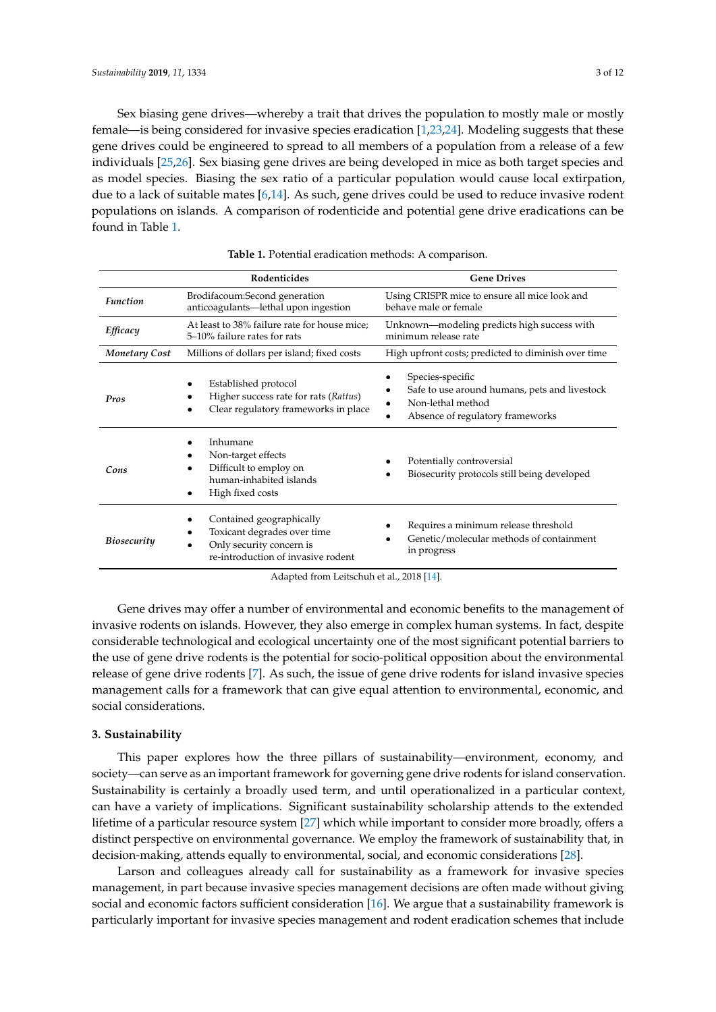Sex biasing gene drives—whereby a trait that drives the population to mostly male or mostly female—is being considered for invasive species eradication [\[1,](#page-8-0)[23,](#page-9-3)[24\]](#page-9-4). Modeling suggests that these gene drives could be engineered to spread to all members of a population from a release of a few individuals [\[25](#page-9-5)[,26\]](#page-9-6). Sex biasing gene drives are being developed in mice as both target species and as model species. Biasing the sex ratio of a particular population would cause local extirpation, due to a lack of suitable mates [\[6](#page-8-3)[,14\]](#page-8-12). As such, gene drives could be used to reduce invasive rodent populations on islands. A comparison of rodenticide and potential gene drive eradications can be found in Table [1.](#page-2-0)

<span id="page-2-0"></span>

|                    | Rodenticides                                                                                                              | <b>Gene Drives</b>                                                                                                         |
|--------------------|---------------------------------------------------------------------------------------------------------------------------|----------------------------------------------------------------------------------------------------------------------------|
| <b>Function</b>    | Brodifacoum:Second generation<br>anticoagulants-lethal upon ingestion                                                     | Using CRISPR mice to ensure all mice look and<br>behave male or female                                                     |
| Efficacy           | At least to 38% failure rate for house mice;<br>5-10% failure rates for rats                                              | Unknown—modeling predicts high success with<br>minimum release rate                                                        |
| Monetary Cost      | Millions of dollars per island; fixed costs                                                                               | High upfront costs; predicted to diminish over time                                                                        |
| Pros               | Established protocol<br>Higher success rate for rats (Rattus)<br>Clear regulatory frameworks in place                     | Species-specific<br>Safe to use around humans, pets and livestock<br>Non-lethal method<br>Absence of regulatory frameworks |
| Cons               | Inhumane<br>Non-target effects<br>Difficult to employ on<br>human-inhabited islands<br>High fixed costs                   | Potentially controversial<br>Biosecurity protocols still being developed                                                   |
| <b>Biosecurity</b> | Contained geographically<br>Toxicant degrades over time<br>Only security concern is<br>re-introduction of invasive rodent | Requires a minimum release threshold<br>Genetic/molecular methods of containment<br>in progress                            |

**Table 1.** Potential eradication methods: A comparison.

Adapted from Leitschuh et al., 2018 [\[14\]](#page-8-12).

Gene drives may offer a number of environmental and economic benefits to the management of invasive rodents on islands. However, they also emerge in complex human systems. In fact, despite considerable technological and ecological uncertainty one of the most significant potential barriers to the use of gene drive rodents is the potential for socio-political opposition about the environmental release of gene drive rodents [\[7\]](#page-8-4). As such, the issue of gene drive rodents for island invasive species management calls for a framework that can give equal attention to environmental, economic, and social considerations.

#### **3. Sustainability**

This paper explores how the three pillars of sustainability—environment, economy, and society—can serve as an important framework for governing gene drive rodents for island conservation. Sustainability is certainly a broadly used term, and until operationalized in a particular context, can have a variety of implications. Significant sustainability scholarship attends to the extended lifetime of a particular resource system [\[27\]](#page-9-7) which while important to consider more broadly, offers a distinct perspective on environmental governance. We employ the framework of sustainability that, in decision-making, attends equally to environmental, social, and economic considerations [\[28\]](#page-9-8).

Larson and colleagues already call for sustainability as a framework for invasive species management, in part because invasive species management decisions are often made without giving social and economic factors sufficient consideration [\[16\]](#page-8-14). We argue that a sustainability framework is particularly important for invasive species management and rodent eradication schemes that include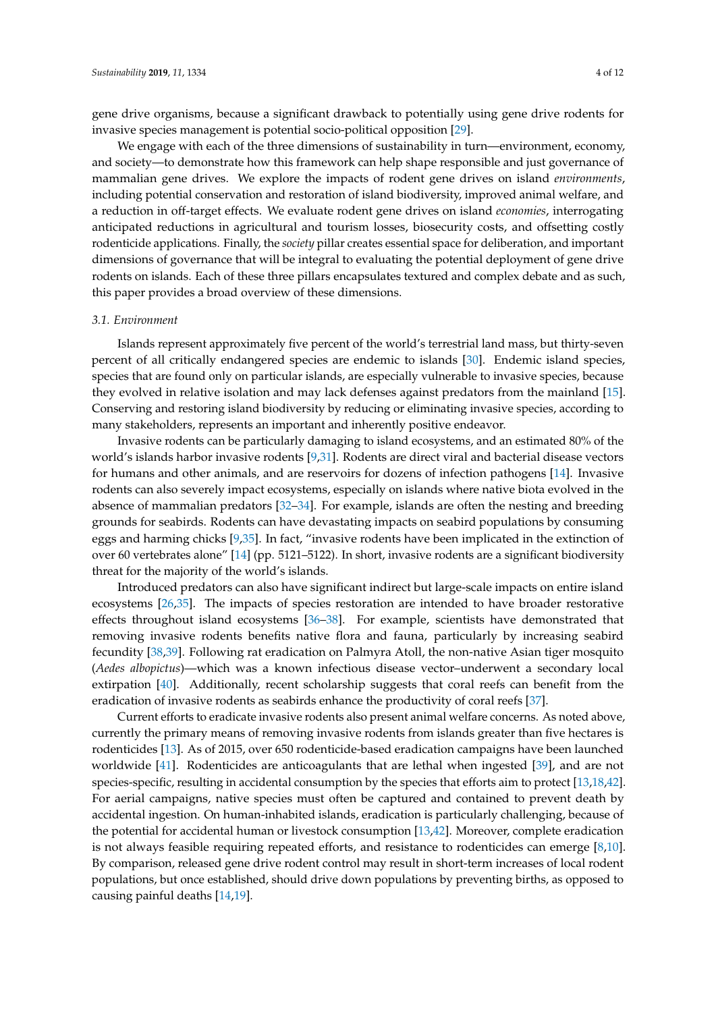gene drive organisms, because a significant drawback to potentially using gene drive rodents for invasive species management is potential socio-political opposition [\[29\]](#page-9-9).

We engage with each of the three dimensions of sustainability in turn—environment, economy, and society—to demonstrate how this framework can help shape responsible and just governance of mammalian gene drives. We explore the impacts of rodent gene drives on island *environments*, including potential conservation and restoration of island biodiversity, improved animal welfare, and a reduction in off-target effects. We evaluate rodent gene drives on island *economies*, interrogating anticipated reductions in agricultural and tourism losses, biosecurity costs, and offsetting costly rodenticide applications. Finally, the *society* pillar creates essential space for deliberation, and important dimensions of governance that will be integral to evaluating the potential deployment of gene drive rodents on islands. Each of these three pillars encapsulates textured and complex debate and as such, this paper provides a broad overview of these dimensions.

#### *3.1. Environment*

Islands represent approximately five percent of the world's terrestrial land mass, but thirty-seven percent of all critically endangered species are endemic to islands [\[30\]](#page-9-10). Endemic island species, species that are found only on particular islands, are especially vulnerable to invasive species, because they evolved in relative isolation and may lack defenses against predators from the mainland [\[15\]](#page-8-13). Conserving and restoring island biodiversity by reducing or eliminating invasive species, according to many stakeholders, represents an important and inherently positive endeavor.

Invasive rodents can be particularly damaging to island ecosystems, and an estimated 80% of the world's islands harbor invasive rodents [\[9,](#page-8-7)[31\]](#page-9-11). Rodents are direct viral and bacterial disease vectors for humans and other animals, and are reservoirs for dozens of infection pathogens [\[14\]](#page-8-12). Invasive rodents can also severely impact ecosystems, especially on islands where native biota evolved in the absence of mammalian predators [\[32–](#page-9-12)[34\]](#page-9-13). For example, islands are often the nesting and breeding grounds for seabirds. Rodents can have devastating impacts on seabird populations by consuming eggs and harming chicks [\[9,](#page-8-7)[35\]](#page-9-14). In fact, "invasive rodents have been implicated in the extinction of over 60 vertebrates alone" [\[14\]](#page-8-12) (pp. 5121–5122). In short, invasive rodents are a significant biodiversity threat for the majority of the world's islands.

Introduced predators can also have significant indirect but large-scale impacts on entire island ecosystems [\[26](#page-9-6)[,35\]](#page-9-14). The impacts of species restoration are intended to have broader restorative effects throughout island ecosystems [\[36](#page-9-15)[–38\]](#page-10-0). For example, scientists have demonstrated that removing invasive rodents benefits native flora and fauna, particularly by increasing seabird fecundity [\[38](#page-10-0)[,39\]](#page-10-1). Following rat eradication on Palmyra Atoll, the non-native Asian tiger mosquito (*Aedes albopictus*)—which was a known infectious disease vector–underwent a secondary local extirpation [\[40\]](#page-10-2). Additionally, recent scholarship suggests that coral reefs can benefit from the eradication of invasive rodents as seabirds enhance the productivity of coral reefs [\[37\]](#page-9-16).

Current efforts to eradicate invasive rodents also present animal welfare concerns. As noted above, currently the primary means of removing invasive rodents from islands greater than five hectares is rodenticides [\[13\]](#page-8-11). As of 2015, over 650 rodenticide-based eradication campaigns have been launched worldwide [\[41\]](#page-10-3). Rodenticides are anticoagulants that are lethal when ingested [\[39\]](#page-10-1), and are not species-specific, resulting in accidental consumption by the species that efforts aim to protect [\[13](#page-8-11)[,18](#page-9-1)[,42\]](#page-10-4). For aerial campaigns, native species must often be captured and contained to prevent death by accidental ingestion. On human-inhabited islands, eradication is particularly challenging, because of the potential for accidental human or livestock consumption [\[13](#page-8-11)[,42\]](#page-10-4). Moreover, complete eradication is not always feasible requiring repeated efforts, and resistance to rodenticides can emerge [\[8,](#page-8-6)[10\]](#page-8-8). By comparison, released gene drive rodent control may result in short-term increases of local rodent populations, but once established, should drive down populations by preventing births, as opposed to causing painful deaths [\[14,](#page-8-12)[19\]](#page-9-2).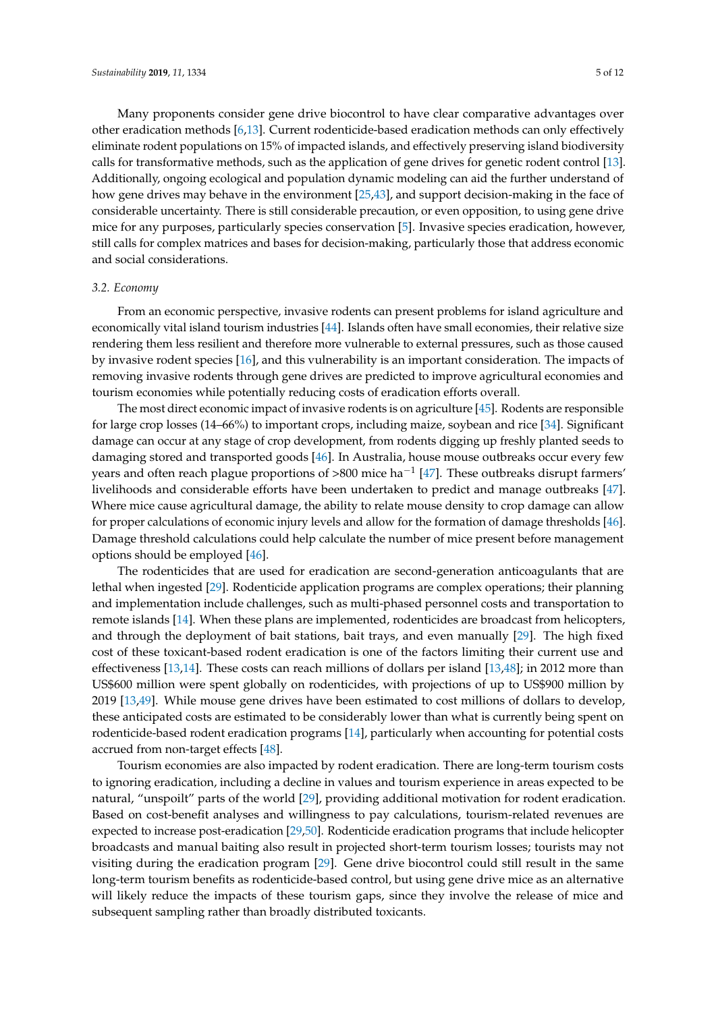Many proponents consider gene drive biocontrol to have clear comparative advantages over other eradication methods [\[6,](#page-8-3)[13\]](#page-8-11). Current rodenticide-based eradication methods can only effectively eliminate rodent populations on 15% of impacted islands, and effectively preserving island biodiversity calls for transformative methods, such as the application of gene drives for genetic rodent control [\[13\]](#page-8-11). Additionally, ongoing ecological and population dynamic modeling can aid the further understand of how gene drives may behave in the environment [\[25](#page-9-5)[,43\]](#page-10-5), and support decision-making in the face of considerable uncertainty. There is still considerable precaution, or even opposition, to using gene drive mice for any purposes, particularly species conservation [\[5\]](#page-8-2). Invasive species eradication, however, still calls for complex matrices and bases for decision-making, particularly those that address economic and social considerations.

### *3.2. Economy*

From an economic perspective, invasive rodents can present problems for island agriculture and economically vital island tourism industries [\[44\]](#page-10-6). Islands often have small economies, their relative size rendering them less resilient and therefore more vulnerable to external pressures, such as those caused by invasive rodent species [\[16\]](#page-8-14), and this vulnerability is an important consideration. The impacts of removing invasive rodents through gene drives are predicted to improve agricultural economies and tourism economies while potentially reducing costs of eradication efforts overall.

The most direct economic impact of invasive rodents is on agriculture [\[45\]](#page-10-7). Rodents are responsible for large crop losses (14–66%) to important crops, including maize, soybean and rice [\[34\]](#page-9-13). Significant damage can occur at any stage of crop development, from rodents digging up freshly planted seeds to damaging stored and transported goods [\[46\]](#page-10-8). In Australia, house mouse outbreaks occur every few years and often reach plague proportions of >800 mice ha $^{-1}$  [\[47\]](#page-10-9). These outbreaks disrupt farmers' livelihoods and considerable efforts have been undertaken to predict and manage outbreaks [\[47\]](#page-10-9). Where mice cause agricultural damage, the ability to relate mouse density to crop damage can allow for proper calculations of economic injury levels and allow for the formation of damage thresholds [\[46\]](#page-10-8). Damage threshold calculations could help calculate the number of mice present before management options should be employed [\[46\]](#page-10-8).

The rodenticides that are used for eradication are second-generation anticoagulants that are lethal when ingested [\[29\]](#page-9-9). Rodenticide application programs are complex operations; their planning and implementation include challenges, such as multi-phased personnel costs and transportation to remote islands [\[14\]](#page-8-12). When these plans are implemented, rodenticides are broadcast from helicopters, and through the deployment of bait stations, bait trays, and even manually [\[29\]](#page-9-9). The high fixed cost of these toxicant-based rodent eradication is one of the factors limiting their current use and effectiveness [\[13,](#page-8-11)[14\]](#page-8-12). These costs can reach millions of dollars per island [\[13,](#page-8-11)[48\]](#page-10-10); in 2012 more than US\$600 million were spent globally on rodenticides, with projections of up to US\$900 million by 2019 [\[13](#page-8-11)[,49\]](#page-10-11). While mouse gene drives have been estimated to cost millions of dollars to develop, these anticipated costs are estimated to be considerably lower than what is currently being spent on rodenticide-based rodent eradication programs [\[14\]](#page-8-12), particularly when accounting for potential costs accrued from non-target effects [\[48\]](#page-10-10).

Tourism economies are also impacted by rodent eradication. There are long-term tourism costs to ignoring eradication, including a decline in values and tourism experience in areas expected to be natural, "unspoilt" parts of the world [\[29\]](#page-9-9), providing additional motivation for rodent eradication. Based on cost-benefit analyses and willingness to pay calculations, tourism-related revenues are expected to increase post-eradication [\[29,](#page-9-9)[50\]](#page-10-12). Rodenticide eradication programs that include helicopter broadcasts and manual baiting also result in projected short-term tourism losses; tourists may not visiting during the eradication program [\[29\]](#page-9-9). Gene drive biocontrol could still result in the same long-term tourism benefits as rodenticide-based control, but using gene drive mice as an alternative will likely reduce the impacts of these tourism gaps, since they involve the release of mice and subsequent sampling rather than broadly distributed toxicants.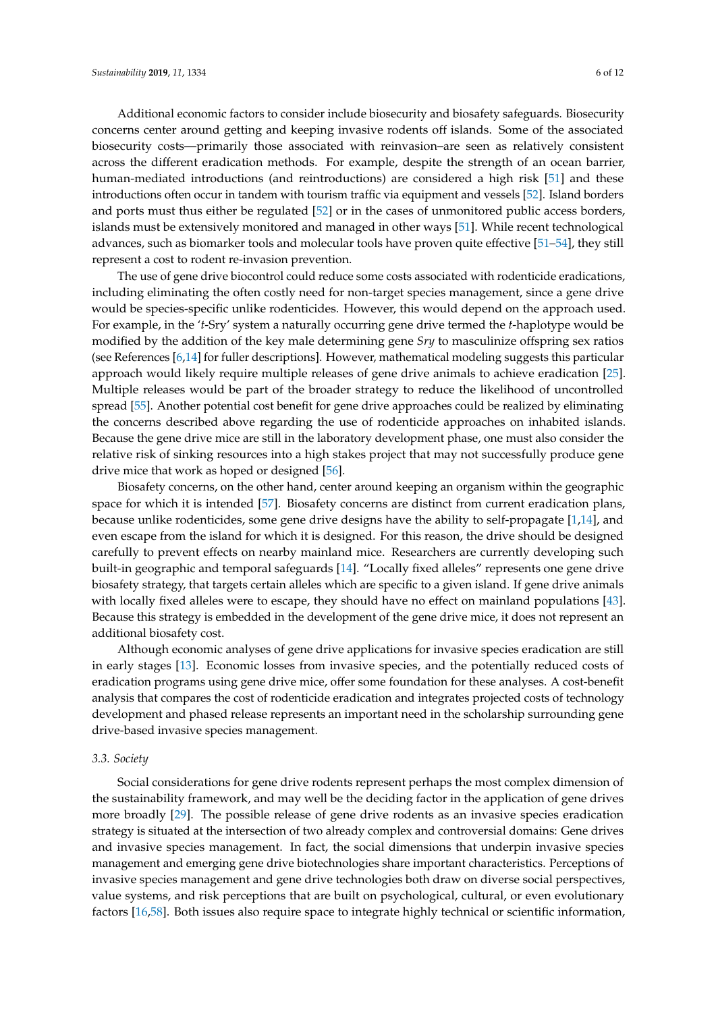Additional economic factors to consider include biosecurity and biosafety safeguards. Biosecurity concerns center around getting and keeping invasive rodents off islands. Some of the associated biosecurity costs—primarily those associated with reinvasion–are seen as relatively consistent across the different eradication methods. For example, despite the strength of an ocean barrier, human-mediated introductions (and reintroductions) are considered a high risk [\[51\]](#page-10-13) and these introductions often occur in tandem with tourism traffic via equipment and vessels [\[52\]](#page-10-14). Island borders and ports must thus either be regulated [\[52\]](#page-10-14) or in the cases of unmonitored public access borders, islands must be extensively monitored and managed in other ways [\[51\]](#page-10-13). While recent technological advances, such as biomarker tools and molecular tools have proven quite effective [\[51](#page-10-13)[–54\]](#page-10-15), they still represent a cost to rodent re-invasion prevention.

The use of gene drive biocontrol could reduce some costs associated with rodenticide eradications, including eliminating the often costly need for non-target species management, since a gene drive would be species-specific unlike rodenticides. However, this would depend on the approach used. For example, in the '*t*-Sry' system a naturally occurring gene drive termed the *t*-haplotype would be modified by the addition of the key male determining gene *Sry* to masculinize offspring sex ratios (see References [\[6,](#page-8-3)[14\]](#page-8-12) for fuller descriptions]. However, mathematical modeling suggests this particular approach would likely require multiple releases of gene drive animals to achieve eradication [\[25\]](#page-9-5). Multiple releases would be part of the broader strategy to reduce the likelihood of uncontrolled spread [\[55\]](#page-10-16). Another potential cost benefit for gene drive approaches could be realized by eliminating the concerns described above regarding the use of rodenticide approaches on inhabited islands. Because the gene drive mice are still in the laboratory development phase, one must also consider the relative risk of sinking resources into a high stakes project that may not successfully produce gene drive mice that work as hoped or designed [\[56\]](#page-10-17).

Biosafety concerns, on the other hand, center around keeping an organism within the geographic space for which it is intended [\[57\]](#page-10-18). Biosafety concerns are distinct from current eradication plans, because unlike rodenticides, some gene drive designs have the ability to self-propagate [\[1](#page-8-0)[,14\]](#page-8-12), and even escape from the island for which it is designed. For this reason, the drive should be designed carefully to prevent effects on nearby mainland mice. Researchers are currently developing such built-in geographic and temporal safeguards [\[14\]](#page-8-12). "Locally fixed alleles" represents one gene drive biosafety strategy, that targets certain alleles which are specific to a given island. If gene drive animals with locally fixed alleles were to escape, they should have no effect on mainland populations [\[43\]](#page-10-5). Because this strategy is embedded in the development of the gene drive mice, it does not represent an additional biosafety cost.

Although economic analyses of gene drive applications for invasive species eradication are still in early stages [\[13\]](#page-8-11). Economic losses from invasive species, and the potentially reduced costs of eradication programs using gene drive mice, offer some foundation for these analyses. A cost-benefit analysis that compares the cost of rodenticide eradication and integrates projected costs of technology development and phased release represents an important need in the scholarship surrounding gene drive-based invasive species management.

#### *3.3. Society*

Social considerations for gene drive rodents represent perhaps the most complex dimension of the sustainability framework, and may well be the deciding factor in the application of gene drives more broadly [\[29\]](#page-9-9). The possible release of gene drive rodents as an invasive species eradication strategy is situated at the intersection of two already complex and controversial domains: Gene drives and invasive species management. In fact, the social dimensions that underpin invasive species management and emerging gene drive biotechnologies share important characteristics. Perceptions of invasive species management and gene drive technologies both draw on diverse social perspectives, value systems, and risk perceptions that are built on psychological, cultural, or even evolutionary factors [\[16,](#page-8-14)[58\]](#page-10-19). Both issues also require space to integrate highly technical or scientific information,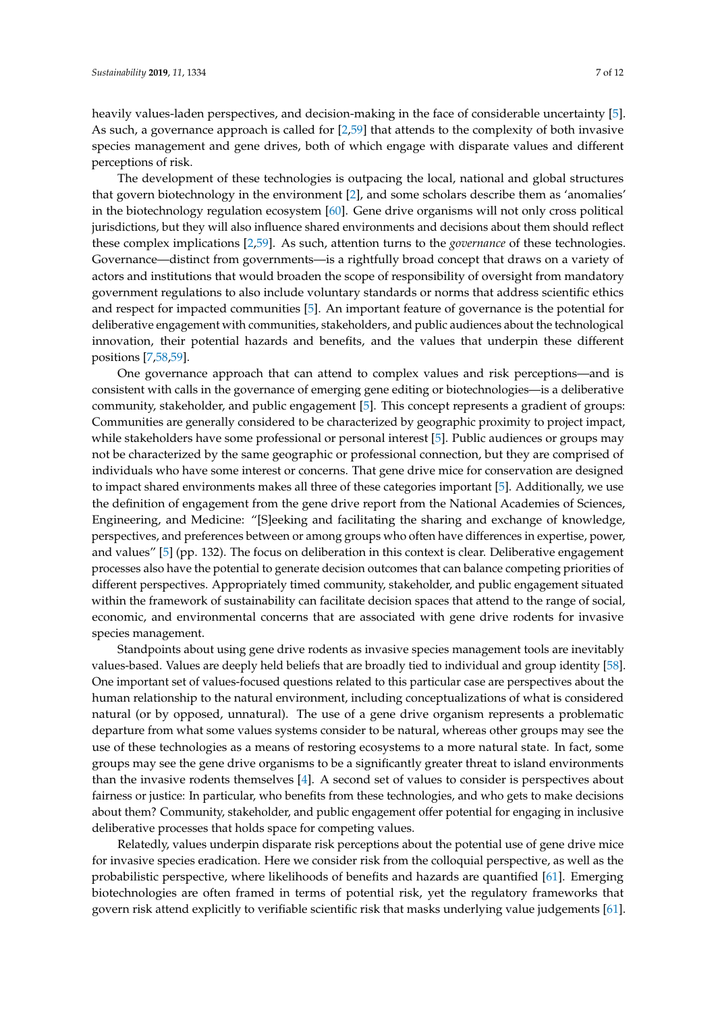heavily values-laden perspectives, and decision-making in the face of considerable uncertainty [\[5\]](#page-8-2). As such, a governance approach is called for [\[2](#page-8-5)[,59\]](#page-11-0) that attends to the complexity of both invasive species management and gene drives, both of which engage with disparate values and different perceptions of risk.

The development of these technologies is outpacing the local, national and global structures that govern biotechnology in the environment [\[2\]](#page-8-5), and some scholars describe them as 'anomalies' in the biotechnology regulation ecosystem [\[60\]](#page-11-1). Gene drive organisms will not only cross political jurisdictions, but they will also influence shared environments and decisions about them should reflect these complex implications [\[2](#page-8-5)[,59\]](#page-11-0). As such, attention turns to the *governance* of these technologies. Governance—distinct from governments—is a rightfully broad concept that draws on a variety of actors and institutions that would broaden the scope of responsibility of oversight from mandatory government regulations to also include voluntary standards or norms that address scientific ethics and respect for impacted communities [\[5\]](#page-8-2). An important feature of governance is the potential for deliberative engagement with communities, stakeholders, and public audiences about the technological innovation, their potential hazards and benefits, and the values that underpin these different positions [\[7,](#page-8-4)[58,](#page-10-19)[59\]](#page-11-0).

One governance approach that can attend to complex values and risk perceptions—and is consistent with calls in the governance of emerging gene editing or biotechnologies—is a deliberative community, stakeholder, and public engagement [\[5\]](#page-8-2). This concept represents a gradient of groups: Communities are generally considered to be characterized by geographic proximity to project impact, while stakeholders have some professional or personal interest [\[5\]](#page-8-2). Public audiences or groups may not be characterized by the same geographic or professional connection, but they are comprised of individuals who have some interest or concerns. That gene drive mice for conservation are designed to impact shared environments makes all three of these categories important [\[5\]](#page-8-2). Additionally, we use the definition of engagement from the gene drive report from the National Academies of Sciences, Engineering, and Medicine: "[S]eeking and facilitating the sharing and exchange of knowledge, perspectives, and preferences between or among groups who often have differences in expertise, power, and values" [\[5\]](#page-8-2) (pp. 132). The focus on deliberation in this context is clear. Deliberative engagement processes also have the potential to generate decision outcomes that can balance competing priorities of different perspectives. Appropriately timed community, stakeholder, and public engagement situated within the framework of sustainability can facilitate decision spaces that attend to the range of social, economic, and environmental concerns that are associated with gene drive rodents for invasive species management.

Standpoints about using gene drive rodents as invasive species management tools are inevitably values-based. Values are deeply held beliefs that are broadly tied to individual and group identity [\[58\]](#page-10-19). One important set of values-focused questions related to this particular case are perspectives about the human relationship to the natural environment, including conceptualizations of what is considered natural (or by opposed, unnatural). The use of a gene drive organism represents a problematic departure from what some values systems consider to be natural, whereas other groups may see the use of these technologies as a means of restoring ecosystems to a more natural state. In fact, some groups may see the gene drive organisms to be a significantly greater threat to island environments than the invasive rodents themselves [\[4\]](#page-8-1). A second set of values to consider is perspectives about fairness or justice: In particular, who benefits from these technologies, and who gets to make decisions about them? Community, stakeholder, and public engagement offer potential for engaging in inclusive deliberative processes that holds space for competing values.

Relatedly, values underpin disparate risk perceptions about the potential use of gene drive mice for invasive species eradication. Here we consider risk from the colloquial perspective, as well as the probabilistic perspective, where likelihoods of benefits and hazards are quantified [\[61\]](#page-11-2). Emerging biotechnologies are often framed in terms of potential risk, yet the regulatory frameworks that govern risk attend explicitly to verifiable scientific risk that masks underlying value judgements [\[61\]](#page-11-2).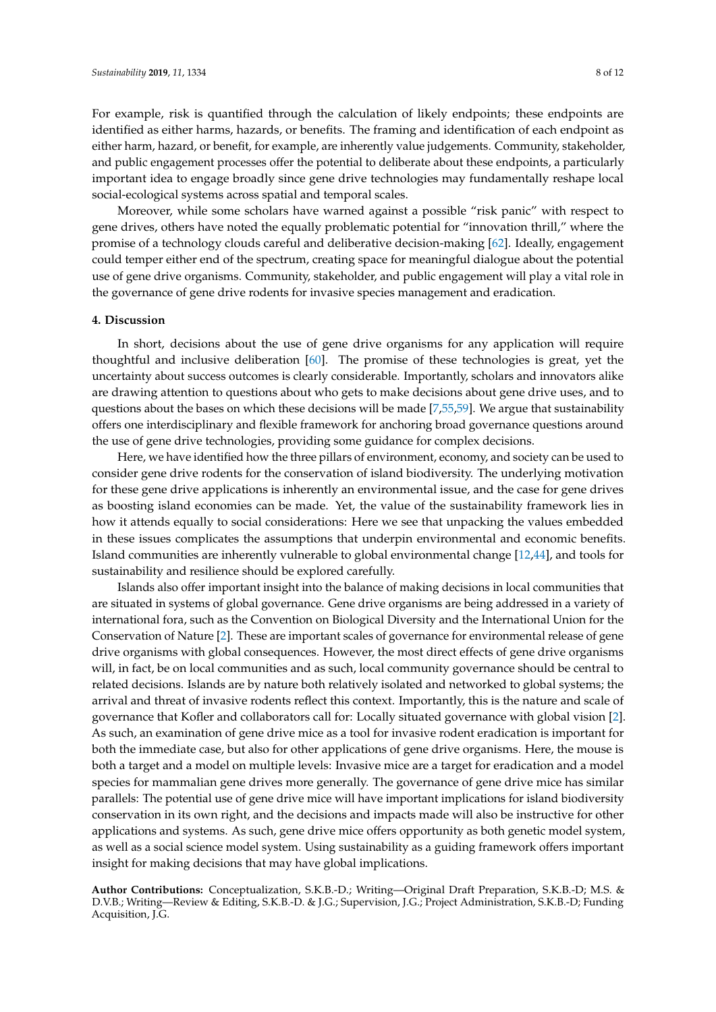For example, risk is quantified through the calculation of likely endpoints; these endpoints are identified as either harms, hazards, or benefits. The framing and identification of each endpoint as either harm, hazard, or benefit, for example, are inherently value judgements. Community, stakeholder, and public engagement processes offer the potential to deliberate about these endpoints, a particularly important idea to engage broadly since gene drive technologies may fundamentally reshape local social-ecological systems across spatial and temporal scales.

Moreover, while some scholars have warned against a possible "risk panic" with respect to gene drives, others have noted the equally problematic potential for "innovation thrill," where the promise of a technology clouds careful and deliberative decision-making [\[62\]](#page-11-3). Ideally, engagement could temper either end of the spectrum, creating space for meaningful dialogue about the potential use of gene drive organisms. Community, stakeholder, and public engagement will play a vital role in the governance of gene drive rodents for invasive species management and eradication.

## **4. Discussion**

In short, decisions about the use of gene drive organisms for any application will require thoughtful and inclusive deliberation [\[60\]](#page-11-1). The promise of these technologies is great, yet the uncertainty about success outcomes is clearly considerable. Importantly, scholars and innovators alike are drawing attention to questions about who gets to make decisions about gene drive uses, and to questions about the bases on which these decisions will be made [\[7,](#page-8-4)[55](#page-10-16)[,59\]](#page-11-0). We argue that sustainability offers one interdisciplinary and flexible framework for anchoring broad governance questions around the use of gene drive technologies, providing some guidance for complex decisions.

Here, we have identified how the three pillars of environment, economy, and society can be used to consider gene drive rodents for the conservation of island biodiversity. The underlying motivation for these gene drive applications is inherently an environmental issue, and the case for gene drives as boosting island economies can be made. Yet, the value of the sustainability framework lies in how it attends equally to social considerations: Here we see that unpacking the values embedded in these issues complicates the assumptions that underpin environmental and economic benefits. Island communities are inherently vulnerable to global environmental change [\[12,](#page-8-10)[44\]](#page-10-6), and tools for sustainability and resilience should be explored carefully.

Islands also offer important insight into the balance of making decisions in local communities that are situated in systems of global governance. Gene drive organisms are being addressed in a variety of international fora, such as the Convention on Biological Diversity and the International Union for the Conservation of Nature [\[2\]](#page-8-5). These are important scales of governance for environmental release of gene drive organisms with global consequences. However, the most direct effects of gene drive organisms will, in fact, be on local communities and as such, local community governance should be central to related decisions. Islands are by nature both relatively isolated and networked to global systems; the arrival and threat of invasive rodents reflect this context. Importantly, this is the nature and scale of governance that Kofler and collaborators call for: Locally situated governance with global vision [\[2\]](#page-8-5). As such, an examination of gene drive mice as a tool for invasive rodent eradication is important for both the immediate case, but also for other applications of gene drive organisms. Here, the mouse is both a target and a model on multiple levels: Invasive mice are a target for eradication and a model species for mammalian gene drives more generally. The governance of gene drive mice has similar parallels: The potential use of gene drive mice will have important implications for island biodiversity conservation in its own right, and the decisions and impacts made will also be instructive for other applications and systems. As such, gene drive mice offers opportunity as both genetic model system, as well as a social science model system. Using sustainability as a guiding framework offers important insight for making decisions that may have global implications.

**Author Contributions:** Conceptualization, S.K.B.-D.; Writing—Original Draft Preparation, S.K.B.-D; M.S. & D.V.B.; Writing—Review & Editing, S.K.B.-D. & J.G.; Supervision, J.G.; Project Administration, S.K.B.-D; Funding Acquisition, J.G.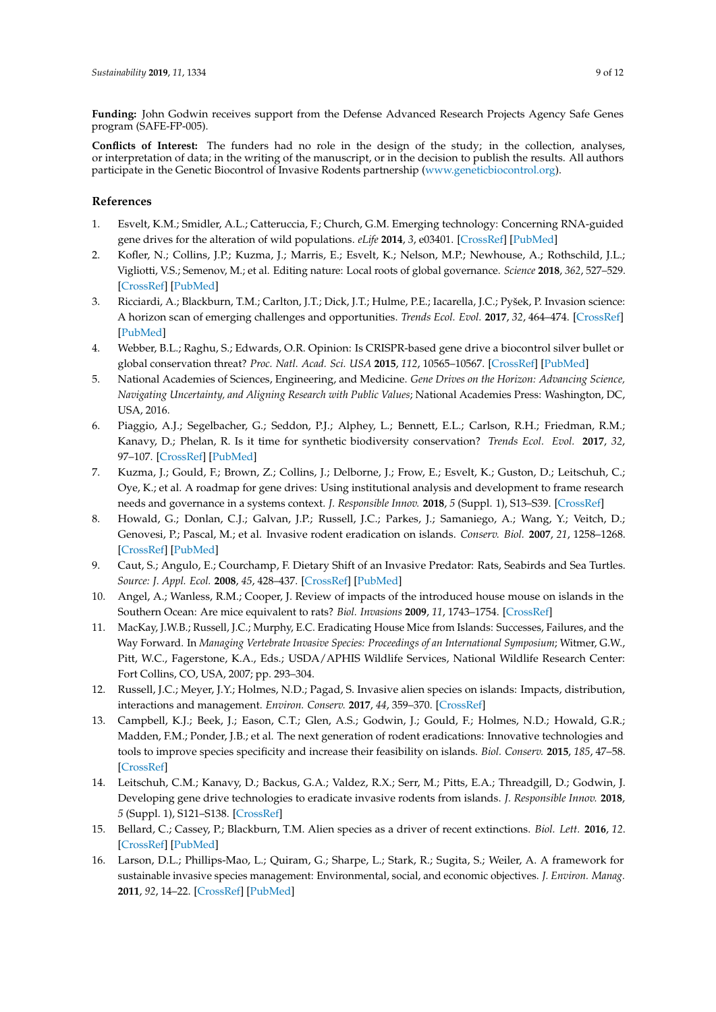**Funding:** John Godwin receives support from the Defense Advanced Research Projects Agency Safe Genes program (SAFE-FP-005).

**Conflicts of Interest:** The funders had no role in the design of the study; in the collection, analyses, or interpretation of data; in the writing of the manuscript, or in the decision to publish the results. All authors participate in the Genetic Biocontrol of Invasive Rodents partnership [\(www.geneticbiocontrol.org\)](www.geneticbiocontrol.org).

# **References**

- <span id="page-8-0"></span>1. Esvelt, K.M.; Smidler, A.L.; Catteruccia, F.; Church, G.M. Emerging technology: Concerning RNA-guided gene drives for the alteration of wild populations. *eLife* **2014**, *3*, e03401. [\[CrossRef\]](http://dx.doi.org/10.7554/eLife.03401) [\[PubMed\]](http://www.ncbi.nlm.nih.gov/pubmed/25035423)
- <span id="page-8-5"></span>2. Kofler, N.; Collins, J.P.; Kuzma, J.; Marris, E.; Esvelt, K.; Nelson, M.P.; Newhouse, A.; Rothschild, J.L.; Vigliotti, V.S.; Semenov, M.; et al. Editing nature: Local roots of global governance. *Science* **2018**, *362*, 527–529. [\[CrossRef\]](http://dx.doi.org/10.1126/science.aat4612) [\[PubMed\]](http://www.ncbi.nlm.nih.gov/pubmed/30385564)
- 3. Ricciardi, A.; Blackburn, T.M.; Carlton, J.T.; Dick, J.T.; Hulme, P.E.; Iacarella, J.C.; Pyšek, P. Invasion science: A horizon scan of emerging challenges and opportunities. *Trends Ecol. Evol.* **2017**, *32*, 464–474. [\[CrossRef\]](http://dx.doi.org/10.1016/j.tree.2017.03.007) [\[PubMed\]](http://www.ncbi.nlm.nih.gov/pubmed/28395941)
- <span id="page-8-1"></span>4. Webber, B.L.; Raghu, S.; Edwards, O.R. Opinion: Is CRISPR-based gene drive a biocontrol silver bullet or global conservation threat? *Proc. Natl. Acad. Sci. USA* **2015**, *112*, 10565–10567. [\[CrossRef\]](http://dx.doi.org/10.1073/pnas.1514258112) [\[PubMed\]](http://www.ncbi.nlm.nih.gov/pubmed/26272924)
- <span id="page-8-2"></span>5. National Academies of Sciences, Engineering, and Medicine. *Gene Drives on the Horizon: Advancing Science, Navigating Uncertainty, and Aligning Research with Public Values*; National Academies Press: Washington, DC, USA, 2016.
- <span id="page-8-3"></span>6. Piaggio, A.J.; Segelbacher, G.; Seddon, P.J.; Alphey, L.; Bennett, E.L.; Carlson, R.H.; Friedman, R.M.; Kanavy, D.; Phelan, R. Is it time for synthetic biodiversity conservation? *Trends Ecol. Evol.* **2017**, *32*, 97–107. [\[CrossRef\]](http://dx.doi.org/10.1016/j.tree.2016.10.016) [\[PubMed\]](http://www.ncbi.nlm.nih.gov/pubmed/27871673)
- <span id="page-8-4"></span>7. Kuzma, J.; Gould, F.; Brown, Z.; Collins, J.; Delborne, J.; Frow, E.; Esvelt, K.; Guston, D.; Leitschuh, C.; Oye, K.; et al. A roadmap for gene drives: Using institutional analysis and development to frame research needs and governance in a systems context. *J. Responsible Innov.* **2018**, *5* (Suppl. 1), S13–S39. [\[CrossRef\]](http://dx.doi.org/10.1080/23299460.2017.1410344)
- <span id="page-8-6"></span>8. Howald, G.; Donlan, C.J.; Galvan, J.P.; Russell, J.C.; Parkes, J.; Samaniego, A.; Wang, Y.; Veitch, D.; Genovesi, P.; Pascal, M.; et al. Invasive rodent eradication on islands. *Conserv. Biol.* **2007**, *21*, 1258–1268. [\[CrossRef\]](http://dx.doi.org/10.1111/j.1523-1739.2007.00755.x) [\[PubMed\]](http://www.ncbi.nlm.nih.gov/pubmed/17883491)
- <span id="page-8-7"></span>9. Caut, S.; Angulo, E.; Courchamp, F. Dietary Shift of an Invasive Predator: Rats, Seabirds and Sea Turtles. *Source: J. Appl. Ecol.* **2008**, *45*, 428–437. [\[CrossRef\]](http://dx.doi.org/10.1111/j.1365-2664.2007.01438.x) [\[PubMed\]](http://www.ncbi.nlm.nih.gov/pubmed/18784794)
- <span id="page-8-8"></span>10. Angel, A.; Wanless, R.M.; Cooper, J. Review of impacts of the introduced house mouse on islands in the Southern Ocean: Are mice equivalent to rats? *Biol. Invasions* **2009**, *11*, 1743–1754. [\[CrossRef\]](http://dx.doi.org/10.1007/s10530-008-9401-4)
- <span id="page-8-9"></span>11. MacKay, J.W.B.; Russell, J.C.; Murphy, E.C. Eradicating House Mice from Islands: Successes, Failures, and the Way Forward. In *Managing Vertebrate Invasive Species: Proceedings of an International Symposium*; Witmer, G.W., Pitt, W.C., Fagerstone, K.A., Eds.; USDA/APHIS Wildlife Services, National Wildlife Research Center: Fort Collins, CO, USA, 2007; pp. 293–304.
- <span id="page-8-10"></span>12. Russell, J.C.; Meyer, J.Y.; Holmes, N.D.; Pagad, S. Invasive alien species on islands: Impacts, distribution, interactions and management. *Environ. Conserv.* **2017**, *44*, 359–370. [\[CrossRef\]](http://dx.doi.org/10.1017/S0376892917000297)
- <span id="page-8-11"></span>13. Campbell, K.J.; Beek, J.; Eason, C.T.; Glen, A.S.; Godwin, J.; Gould, F.; Holmes, N.D.; Howald, G.R.; Madden, F.M.; Ponder, J.B.; et al. The next generation of rodent eradications: Innovative technologies and tools to improve species specificity and increase their feasibility on islands. *Biol. Conserv.* **2015**, *185*, 47–58. [\[CrossRef\]](http://dx.doi.org/10.1016/j.biocon.2014.10.016)
- <span id="page-8-12"></span>14. Leitschuh, C.M.; Kanavy, D.; Backus, G.A.; Valdez, R.X.; Serr, M.; Pitts, E.A.; Threadgill, D.; Godwin, J. Developing gene drive technologies to eradicate invasive rodents from islands. *J. Responsible Innov.* **2018**, *5* (Suppl. 1), S121–S138. [\[CrossRef\]](http://dx.doi.org/10.1080/23299460.2017.1365232)
- <span id="page-8-13"></span>15. Bellard, C.; Cassey, P.; Blackburn, T.M. Alien species as a driver of recent extinctions. *Biol. Lett.* **2016**, *12*. [\[CrossRef\]](http://dx.doi.org/10.1098/rsbl.2015.0623) [\[PubMed\]](http://www.ncbi.nlm.nih.gov/pubmed/26888913)
- <span id="page-8-14"></span>16. Larson, D.L.; Phillips-Mao, L.; Quiram, G.; Sharpe, L.; Stark, R.; Sugita, S.; Weiler, A. A framework for sustainable invasive species management: Environmental, social, and economic objectives. *J. Environ. Manag.* **2011**, *92*, 14–22. [\[CrossRef\]](http://dx.doi.org/10.1016/j.jenvman.2010.08.025) [\[PubMed\]](http://www.ncbi.nlm.nih.gov/pubmed/20832931)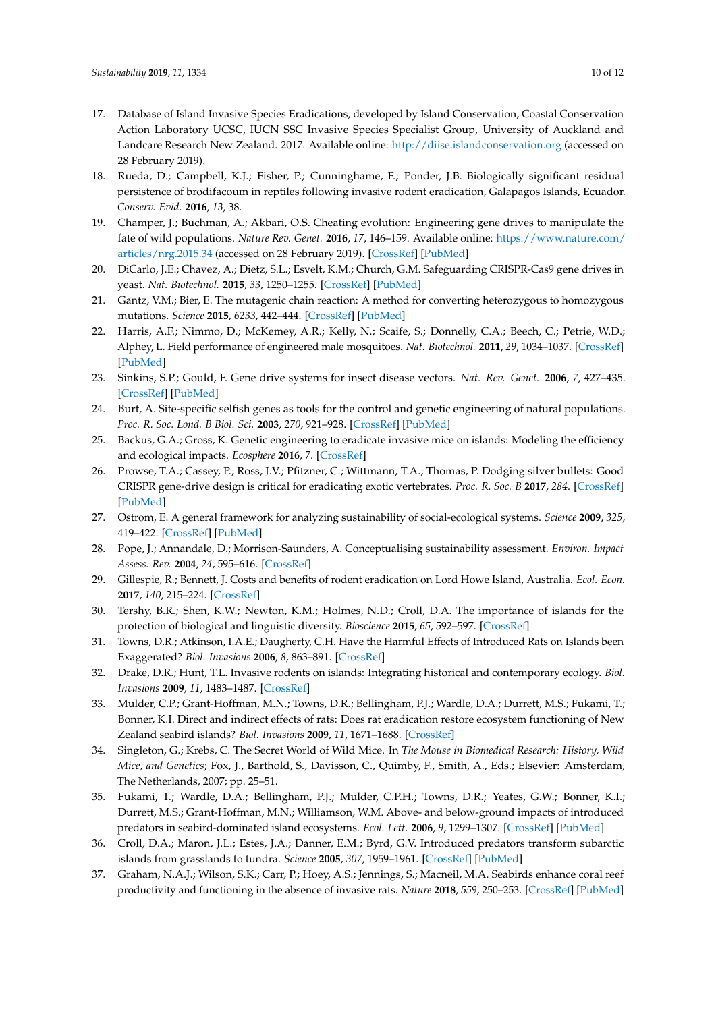- <span id="page-9-0"></span>17. Database of Island Invasive Species Eradications, developed by Island Conservation, Coastal Conservation Action Laboratory UCSC, IUCN SSC Invasive Species Specialist Group, University of Auckland and Landcare Research New Zealand. 2017. Available online: <http://diise.islandconservation.org> (accessed on 28 February 2019).
- <span id="page-9-1"></span>18. Rueda, D.; Campbell, K.J.; Fisher, P.; Cunninghame, F.; Ponder, J.B. Biologically significant residual persistence of brodifacoum in reptiles following invasive rodent eradication, Galapagos Islands, Ecuador. *Conserv. Evid.* **2016**, *13*, 38.
- <span id="page-9-2"></span>19. Champer, J.; Buchman, A.; Akbari, O.S. Cheating evolution: Engineering gene drives to manipulate the fate of wild populations. *Nature Rev. Genet.* **2016**, *17*, 146–159. Available online: [https://www.nature.com/](https://www.nature.com/articles/nrg.2015.34) [articles/nrg.2015.34](https://www.nature.com/articles/nrg.2015.34) (accessed on 28 February 2019). [\[CrossRef\]](http://dx.doi.org/10.1038/nrg.2015.34) [\[PubMed\]](http://www.ncbi.nlm.nih.gov/pubmed/26875679)
- 20. DiCarlo, J.E.; Chavez, A.; Dietz, S.L.; Esvelt, K.M.; Church, G.M. Safeguarding CRISPR-Cas9 gene drives in yeast. *Nat. Biotechnol.* **2015**, *33*, 1250–1255. [\[CrossRef\]](http://dx.doi.org/10.1038/nbt.3412) [\[PubMed\]](http://www.ncbi.nlm.nih.gov/pubmed/26571100)
- 21. Gantz, V.M.; Bier, E. The mutagenic chain reaction: A method for converting heterozygous to homozygous mutations. *Science* **2015**, *6233*, 442–444. [\[CrossRef\]](http://dx.doi.org/10.1126/science.aaa5945) [\[PubMed\]](http://www.ncbi.nlm.nih.gov/pubmed/25908821)
- 22. Harris, A.F.; Nimmo, D.; McKemey, A.R.; Kelly, N.; Scaife, S.; Donnelly, C.A.; Beech, C.; Petrie, W.D.; Alphey, L. Field performance of engineered male mosquitoes. *Nat. Biotechnol.* **2011**, *29*, 1034–1037. [\[CrossRef\]](http://dx.doi.org/10.1038/nbt.2019) [\[PubMed\]](http://www.ncbi.nlm.nih.gov/pubmed/22037376)
- <span id="page-9-3"></span>23. Sinkins, S.P.; Gould, F. Gene drive systems for insect disease vectors. *Nat. Rev. Genet.* **2006**, *7*, 427–435. [\[CrossRef\]](http://dx.doi.org/10.1038/nrg1870) [\[PubMed\]](http://www.ncbi.nlm.nih.gov/pubmed/16682981)
- <span id="page-9-4"></span>24. Burt, A. Site-specific selfish genes as tools for the control and genetic engineering of natural populations. *Proc. R. Soc. Lond. B Biol. Sci.* **2003**, *270*, 921–928. [\[CrossRef\]](http://dx.doi.org/10.1098/rspb.2002.2319) [\[PubMed\]](http://www.ncbi.nlm.nih.gov/pubmed/12803906)
- <span id="page-9-5"></span>25. Backus, G.A.; Gross, K. Genetic engineering to eradicate invasive mice on islands: Modeling the efficiency and ecological impacts. *Ecosphere* **2016**, *7*. [\[CrossRef\]](http://dx.doi.org/10.1002/ecs2.1589)
- <span id="page-9-6"></span>26. Prowse, T.A.; Cassey, P.; Ross, J.V.; Pfitzner, C.; Wittmann, T.A.; Thomas, P. Dodging silver bullets: Good CRISPR gene-drive design is critical for eradicating exotic vertebrates. *Proc. R. Soc. B* **2017**, *284*. [\[CrossRef\]](http://dx.doi.org/10.1098/rspb.2017.0799) [\[PubMed\]](http://www.ncbi.nlm.nih.gov/pubmed/28794219)
- <span id="page-9-7"></span>27. Ostrom, E. A general framework for analyzing sustainability of social-ecological systems. *Science* **2009**, *325*, 419–422. [\[CrossRef\]](http://dx.doi.org/10.1126/science.1172133) [\[PubMed\]](http://www.ncbi.nlm.nih.gov/pubmed/19628857)
- <span id="page-9-8"></span>28. Pope, J.; Annandale, D.; Morrison-Saunders, A. Conceptualising sustainability assessment. *Environ. Impact Assess. Rev.* **2004**, *24*, 595–616. [\[CrossRef\]](http://dx.doi.org/10.1016/j.eiar.2004.03.001)
- <span id="page-9-9"></span>29. Gillespie, R.; Bennett, J. Costs and benefits of rodent eradication on Lord Howe Island, Australia. *Ecol. Econ.* **2017**, *140*, 215–224. [\[CrossRef\]](http://dx.doi.org/10.1016/j.ecolecon.2017.05.007)
- <span id="page-9-10"></span>30. Tershy, B.R.; Shen, K.W.; Newton, K.M.; Holmes, N.D.; Croll, D.A. The importance of islands for the protection of biological and linguistic diversity. *Bioscience* **2015**, *65*, 592–597. [\[CrossRef\]](http://dx.doi.org/10.1093/biosci/biv031)
- <span id="page-9-11"></span>31. Towns, D.R.; Atkinson, I.A.E.; Daugherty, C.H. Have the Harmful Effects of Introduced Rats on Islands been Exaggerated? *Biol. Invasions* **2006**, *8*, 863–891. [\[CrossRef\]](http://dx.doi.org/10.1007/s10530-005-0421-z)
- <span id="page-9-12"></span>32. Drake, D.R.; Hunt, T.L. Invasive rodents on islands: Integrating historical and contemporary ecology. *Biol. Invasions* **2009**, *11*, 1483–1487. [\[CrossRef\]](http://dx.doi.org/10.1007/s10530-008-9392-1)
- 33. Mulder, C.P.; Grant-Hoffman, M.N.; Towns, D.R.; Bellingham, P.J.; Wardle, D.A.; Durrett, M.S.; Fukami, T.; Bonner, K.I. Direct and indirect effects of rats: Does rat eradication restore ecosystem functioning of New Zealand seabird islands? *Biol. Invasions* **2009**, *11*, 1671–1688. [\[CrossRef\]](http://dx.doi.org/10.1007/s10530-008-9396-x)
- <span id="page-9-13"></span>34. Singleton, G.; Krebs, C. The Secret World of Wild Mice. In *The Mouse in Biomedical Research: History, Wild Mice, and Genetics*; Fox, J., Barthold, S., Davisson, C., Quimby, F., Smith, A., Eds.; Elsevier: Amsterdam, The Netherlands, 2007; pp. 25–51.
- <span id="page-9-14"></span>35. Fukami, T.; Wardle, D.A.; Bellingham, P.J.; Mulder, C.P.H.; Towns, D.R.; Yeates, G.W.; Bonner, K.I.; Durrett, M.S.; Grant-Hoffman, M.N.; Williamson, W.M. Above- and below-ground impacts of introduced predators in seabird-dominated island ecosystems. *Ecol. Lett.* **2006**, *9*, 1299–1307. [\[CrossRef\]](http://dx.doi.org/10.1111/j.1461-0248.2006.00983.x) [\[PubMed\]](http://www.ncbi.nlm.nih.gov/pubmed/17118004)
- <span id="page-9-15"></span>36. Croll, D.A.; Maron, J.L.; Estes, J.A.; Danner, E.M.; Byrd, G.V. Introduced predators transform subarctic islands from grasslands to tundra. *Science* **2005**, *307*, 1959–1961. [\[CrossRef\]](http://dx.doi.org/10.1126/science.1108485) [\[PubMed\]](http://www.ncbi.nlm.nih.gov/pubmed/15790855)
- <span id="page-9-16"></span>37. Graham, N.A.J.; Wilson, S.K.; Carr, P.; Hoey, A.S.; Jennings, S.; Macneil, M.A. Seabirds enhance coral reef productivity and functioning in the absence of invasive rats. *Nature* **2018**, *559*, 250–253. [\[CrossRef\]](http://dx.doi.org/10.1038/s41586-018-0202-3) [\[PubMed\]](http://www.ncbi.nlm.nih.gov/pubmed/29995864)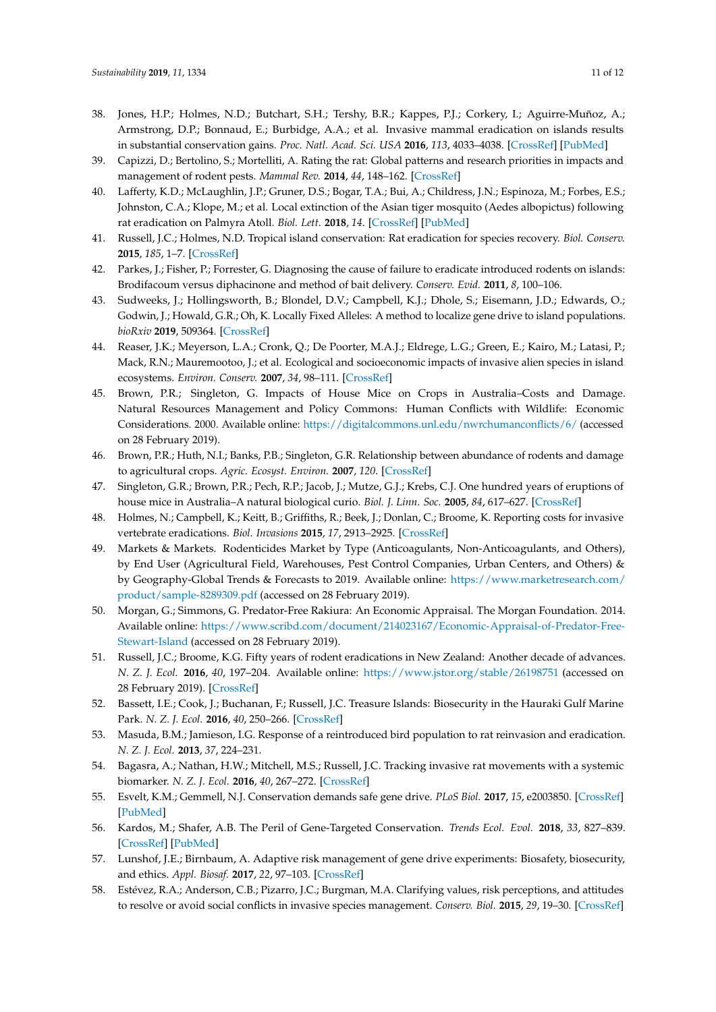- <span id="page-10-0"></span>38. Jones, H.P.; Holmes, N.D.; Butchart, S.H.; Tershy, B.R.; Kappes, P.J.; Corkery, I.; Aguirre-Muñoz, A.; Armstrong, D.P.; Bonnaud, E.; Burbidge, A.A.; et al. Invasive mammal eradication on islands results in substantial conservation gains. *Proc. Natl. Acad. Sci. USA* **2016**, *113*, 4033–4038. [\[CrossRef\]](http://dx.doi.org/10.1073/pnas.1521179113) [\[PubMed\]](http://www.ncbi.nlm.nih.gov/pubmed/27001852)
- <span id="page-10-1"></span>39. Capizzi, D.; Bertolino, S.; Mortelliti, A. Rating the rat: Global patterns and research priorities in impacts and management of rodent pests. *Mammal Rev.* **2014**, *44*, 148–162. [\[CrossRef\]](http://dx.doi.org/10.1111/mam.12019)
- <span id="page-10-2"></span>40. Lafferty, K.D.; McLaughlin, J.P.; Gruner, D.S.; Bogar, T.A.; Bui, A.; Childress, J.N.; Espinoza, M.; Forbes, E.S.; Johnston, C.A.; Klope, M.; et al. Local extinction of the Asian tiger mosquito (Aedes albopictus) following rat eradication on Palmyra Atoll. *Biol. Lett.* **2018**, *14*. [\[CrossRef\]](http://dx.doi.org/10.1098/rsbl.2017.0743) [\[PubMed\]](http://www.ncbi.nlm.nih.gov/pubmed/29491026)
- <span id="page-10-3"></span>41. Russell, J.C.; Holmes, N.D. Tropical island conservation: Rat eradication for species recovery. *Biol. Conserv.* **2015**, *185*, 1–7. [\[CrossRef\]](http://dx.doi.org/10.1016/j.biocon.2015.01.009)
- <span id="page-10-4"></span>42. Parkes, J.; Fisher, P.; Forrester, G. Diagnosing the cause of failure to eradicate introduced rodents on islands: Brodifacoum versus diphacinone and method of bait delivery. *Conserv. Evid.* **2011**, *8*, 100–106.
- <span id="page-10-5"></span>43. Sudweeks, J.; Hollingsworth, B.; Blondel, D.V.; Campbell, K.J.; Dhole, S.; Eisemann, J.D.; Edwards, O.; Godwin, J.; Howald, G.R.; Oh, K. Locally Fixed Alleles: A method to localize gene drive to island populations. *bioRxiv* **2019**, 509364. [\[CrossRef\]](http://dx.doi.org/10.1101/509364)
- <span id="page-10-6"></span>44. Reaser, J.K.; Meyerson, L.A.; Cronk, Q.; De Poorter, M.A.J.; Eldrege, L.G.; Green, E.; Kairo, M.; Latasi, P.; Mack, R.N.; Mauremootoo, J.; et al. Ecological and socioeconomic impacts of invasive alien species in island ecosystems. *Environ. Conserv.* **2007**, *34*, 98–111. [\[CrossRef\]](http://dx.doi.org/10.1017/S0376892907003815)
- <span id="page-10-7"></span>45. Brown, P.R.; Singleton, G. Impacts of House Mice on Crops in Australia–Costs and Damage. Natural Resources Management and Policy Commons: Human Conflicts with Wildlife: Economic Considerations. 2000. Available online: <https://digitalcommons.unl.edu/nwrchumanconflicts/6/> (accessed on 28 February 2019).
- <span id="page-10-8"></span>46. Brown, P.R.; Huth, N.I.; Banks, P.B.; Singleton, G.R. Relationship between abundance of rodents and damage to agricultural crops. *Agric. Ecosyst. Environ.* **2007**, *120*. [\[CrossRef\]](http://dx.doi.org/10.1016/j.agee.2006.10.016)
- <span id="page-10-9"></span>47. Singleton, G.R.; Brown, P.R.; Pech, R.P.; Jacob, J.; Mutze, G.J.; Krebs, C.J. One hundred years of eruptions of house mice in Australia–A natural biological curio. *Biol. J. Linn. Soc.* **2005**, *84*, 617–627. [\[CrossRef\]](http://dx.doi.org/10.1111/j.1095-8312.2005.00458.x)
- <span id="page-10-10"></span>48. Holmes, N.; Campbell, K.; Keitt, B.; Griffiths, R.; Beek, J.; Donlan, C.; Broome, K. Reporting costs for invasive vertebrate eradications. *Biol. Invasions* **2015**, *17*, 2913–2925. [\[CrossRef\]](http://dx.doi.org/10.1007/s10530-015-0920-5)
- <span id="page-10-11"></span>49. Markets & Markets. Rodenticides Market by Type (Anticoagulants, Non-Anticoagulants, and Others), by End User (Agricultural Field, Warehouses, Pest Control Companies, Urban Centers, and Others) & by Geography-Global Trends & Forecasts to 2019. Available online: [https://www.marketresearch.com/](https://www.marketresearch.com/product/sample-8289309.pdf) [product/sample-8289309.pdf](https://www.marketresearch.com/product/sample-8289309.pdf) (accessed on 28 February 2019).
- <span id="page-10-12"></span>50. Morgan, G.; Simmons, G. Predator-Free Rakiura: An Economic Appraisal. The Morgan Foundation. 2014. Available online: [https://www.scribd.com/document/214023167/Economic-Appraisal-of-Predator-Free-](https://www.scribd.com/document/214023167/Economic-Appraisal-of-Predator-Free-Stewart-Island)[Stewart-Island](https://www.scribd.com/document/214023167/Economic-Appraisal-of-Predator-Free-Stewart-Island) (accessed on 28 February 2019).
- <span id="page-10-13"></span>51. Russell, J.C.; Broome, K.G. Fifty years of rodent eradications in New Zealand: Another decade of advances. *N. Z. J. Ecol.* **2016**, *40*, 197–204. Available online: <https://www.jstor.org/stable/26198751> (accessed on 28 February 2019). [\[CrossRef\]](http://dx.doi.org/10.20417/nzjecol.40.22)
- <span id="page-10-14"></span>52. Bassett, I.E.; Cook, J.; Buchanan, F.; Russell, J.C. Treasure Islands: Biosecurity in the Hauraki Gulf Marine Park. *N. Z. J. Ecol.* **2016**, *40*, 250–266. [\[CrossRef\]](http://dx.doi.org/10.20417/nzjecol.40.28)
- 53. Masuda, B.M.; Jamieson, I.G. Response of a reintroduced bird population to rat reinvasion and eradication. *N. Z. J. Ecol.* **2013**, *37*, 224–231.
- <span id="page-10-15"></span>54. Bagasra, A.; Nathan, H.W.; Mitchell, M.S.; Russell, J.C. Tracking invasive rat movements with a systemic biomarker. *N. Z. J. Ecol.* **2016**, *40*, 267–272. [\[CrossRef\]](http://dx.doi.org/10.20417/nzjecol.40.29)
- <span id="page-10-16"></span>55. Esvelt, K.M.; Gemmell, N.J. Conservation demands safe gene drive. *PLoS Biol.* **2017**, *15*, e2003850. [\[CrossRef\]](http://dx.doi.org/10.1371/journal.pbio.2003850) [\[PubMed\]](http://www.ncbi.nlm.nih.gov/pubmed/29145398)
- <span id="page-10-17"></span>56. Kardos, M.; Shafer, A.B. The Peril of Gene-Targeted Conservation. *Trends Ecol. Evol.* **2018**, *33*, 827–839. [\[CrossRef\]](http://dx.doi.org/10.1016/j.tree.2018.08.011) [\[PubMed\]](http://www.ncbi.nlm.nih.gov/pubmed/30241778)
- <span id="page-10-18"></span>57. Lunshof, J.E.; Birnbaum, A. Adaptive risk management of gene drive experiments: Biosafety, biosecurity, and ethics. *Appl. Biosaf.* **2017**, *22*, 97–103. [\[CrossRef\]](http://dx.doi.org/10.1177/1535676017721488)
- <span id="page-10-19"></span>58. Estévez, R.A.; Anderson, C.B.; Pizarro, J.C.; Burgman, M.A. Clarifying values, risk perceptions, and attitudes to resolve or avoid social conflicts in invasive species management. *Conserv. Biol.* **2015**, *29*, 19–30. [\[CrossRef\]](http://dx.doi.org/10.1111/cobi.12359)